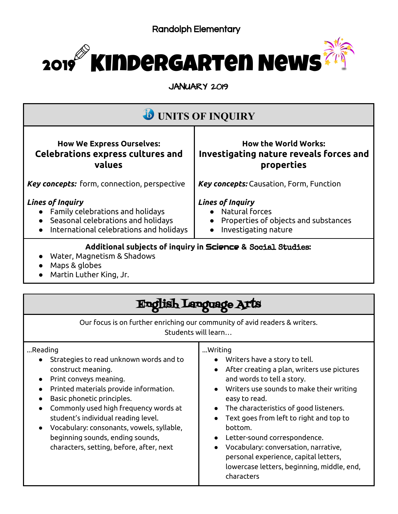

JANUARY 2019

| <b><i>b</i></b> UNITS OF INQUIRY                                                                                                             |                                                                                                             |
|----------------------------------------------------------------------------------------------------------------------------------------------|-------------------------------------------------------------------------------------------------------------|
| <b>How We Express Ourselves:</b><br><b>Celebrations express cultures and</b><br>values                                                       | <b>How the World Works:</b><br>Investigating nature reveals forces and<br>properties                        |
| <b>Key concepts:</b> form, connection, perspective                                                                                           | Key concepts: Causation, Form, Function                                                                     |
| <b>Lines of Inquiry</b><br>Family celebrations and holidays<br>Seasonal celebrations and holidays<br>International celebrations and holidays | <b>Lines of Inquiry</b><br>• Natural forces<br>Properties of objects and substances<br>Investigating nature |
| Additional subjects of inquiry in Science & Social Studies:<br>Water, Magnetism & Shadows<br>Maps & globes<br>Martin Luther King, Jr.        |                                                                                                             |

| Language A                                                                                                                                                                                                                                                                                                                                                                              |                                                                                                                                                                                                                                                                                                                                                                                                                                                                 |  |
|-----------------------------------------------------------------------------------------------------------------------------------------------------------------------------------------------------------------------------------------------------------------------------------------------------------------------------------------------------------------------------------------|-----------------------------------------------------------------------------------------------------------------------------------------------------------------------------------------------------------------------------------------------------------------------------------------------------------------------------------------------------------------------------------------------------------------------------------------------------------------|--|
| Our focus is on further enriching our community of avid readers & writers.<br>Students will learn                                                                                                                                                                                                                                                                                       |                                                                                                                                                                                                                                                                                                                                                                                                                                                                 |  |
| Reading<br>Strategies to read unknown words and to<br>construct meaning.<br>Print conveys meaning.<br>Printed materials provide information.<br>Basic phonetic principles.<br>Commonly used high frequency words at<br>student's individual reading level.<br>Vocabulary: consonants, vowels, syllable,<br>beginning sounds, ending sounds,<br>characters, setting, before, after, next | Writing<br>Writers have a story to tell.<br>After creating a plan, writers use pictures<br>and words to tell a story.<br>Writers use sounds to make their writing<br>easy to read.<br>The characteristics of good listeners.<br>Text goes from left to right and top to<br>bottom.<br>Letter-sound correspondence.<br>Vocabulary: conversation, narrative,<br>personal experience, capital letters,<br>lowercase letters, beginning, middle, end,<br>characters |  |